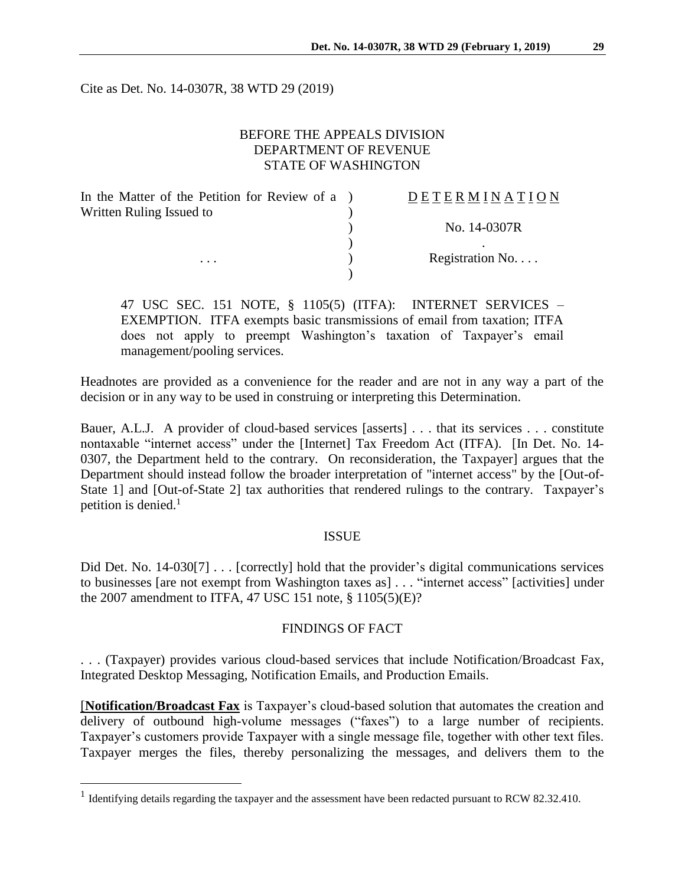Cite as Det. No. 14-0307R, 38 WTD 29 (2019)

# BEFORE THE APPEALS DIVISION DEPARTMENT OF REVENUE STATE OF WASHINGTON

| In the Matter of the Petition for Review of a ) | <b>DETERMINATION</b> |
|-------------------------------------------------|----------------------|
| Written Ruling Issued to                        |                      |
|                                                 | No. 14-0307R         |
|                                                 |                      |
| $\cdots$                                        | Registration No      |
|                                                 |                      |

47 USC SEC. 151 NOTE, § 1105(5) (ITFA): INTERNET SERVICES – EXEMPTION. ITFA exempts basic transmissions of email from taxation; ITFA does not apply to preempt Washington's taxation of Taxpayer's email management/pooling services.

Headnotes are provided as a convenience for the reader and are not in any way a part of the decision or in any way to be used in construing or interpreting this Determination.

Bauer, A.L.J. A provider of cloud-based services [asserts] . . . that its services . . . constitute nontaxable "internet access" under the [Internet] Tax Freedom Act (ITFA). [In Det. No. 14- 0307, the Department held to the contrary. On reconsideration, the Taxpayer] argues that the Department should instead follow the broader interpretation of "internet access" by the [Out-of-State 1] and [Out-of-State 2] tax authorities that rendered rulings to the contrary. Taxpayer's petition is denied.<sup>1</sup>

## **ISSUE**

Did Det. No. 14-030[7] . . . [correctly] hold that the provider's digital communications services to businesses [are not exempt from Washington taxes as] . . . "internet access" [activities] under the 2007 amendment to ITFA, 47 USC 151 note, § 1105(5)(E)?

## FINDINGS OF FACT

. . . (Taxpayer) provides various cloud-based services that include Notification/Broadcast Fax, Integrated Desktop Messaging, Notification Emails, and Production Emails.

[**Notification/Broadcast Fax** is Taxpayer's cloud-based solution that automates the creation and delivery of outbound high-volume messages ("faxes") to a large number of recipients. Taxpayer's customers provide Taxpayer with a single message file, together with other text files. Taxpayer merges the files, thereby personalizing the messages, and delivers them to the

 $\overline{a}$ 

<sup>&</sup>lt;sup>1</sup> Identifying details regarding the taxpayer and the assessment have been redacted pursuant to RCW 82.32.410.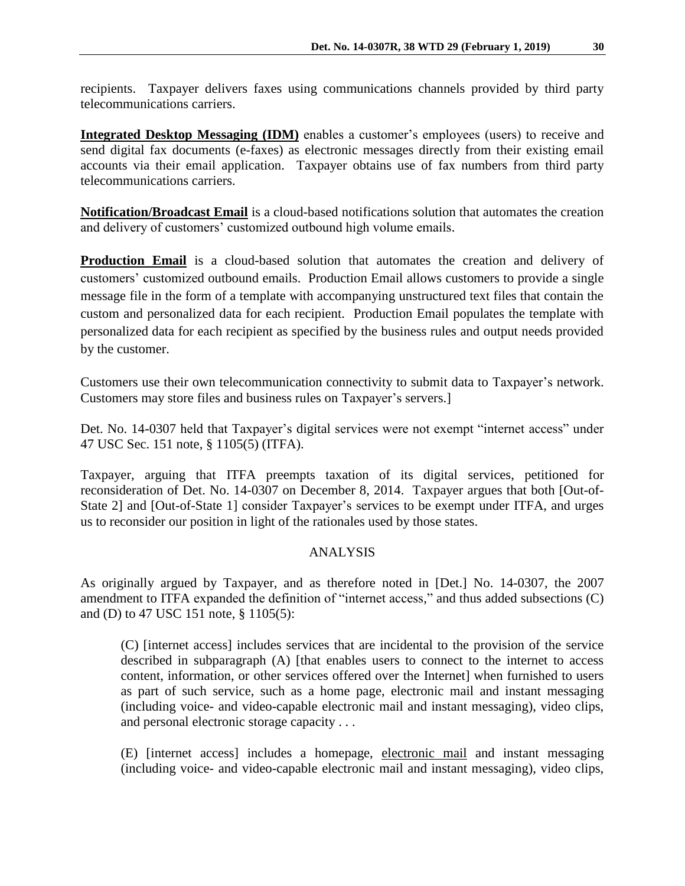recipients. Taxpayer delivers faxes using communications channels provided by third party telecommunications carriers.

**Integrated Desktop Messaging (IDM)** enables a customer's employees (users) to receive and send digital fax documents (e-faxes) as electronic messages directly from their existing email accounts via their email application. Taxpayer obtains use of fax numbers from third party telecommunications carriers.

**Notification/Broadcast Email** is a cloud-based notifications solution that automates the creation and delivery of customers' customized outbound high volume emails.

**Production Email** is a cloud-based solution that automates the creation and delivery of customers' customized outbound emails. Production Email allows customers to provide a single message file in the form of a template with accompanying unstructured text files that contain the custom and personalized data for each recipient. Production Email populates the template with personalized data for each recipient as specified by the business rules and output needs provided by the customer.

Customers use their own telecommunication connectivity to submit data to Taxpayer's network. Customers may store files and business rules on Taxpayer's servers.]

Det. No. 14-0307 held that Taxpayer's digital services were not exempt "internet access" under 47 USC Sec. 151 note, § 1105(5) (ITFA).

Taxpayer, arguing that ITFA preempts taxation of its digital services, petitioned for reconsideration of Det. No. 14-0307 on December 8, 2014. Taxpayer argues that both [Out-of-State 2] and [Out-of-State 1] consider Taxpayer's services to be exempt under ITFA, and urges us to reconsider our position in light of the rationales used by those states.

## ANALYSIS

As originally argued by Taxpayer, and as therefore noted in [Det.] No. 14-0307, the 2007 amendment to ITFA expanded the definition of "internet access," and thus added subsections (C) and (D) to 47 USC 151 note, § 1105(5):

(C) [internet access] includes services that are incidental to the provision of the service described in subparagraph (A) [that enables users to connect to the internet to access content, information, or other services offered over the Internet] when furnished to users as part of such service, such as a home page, electronic mail and instant messaging (including voice- and video-capable electronic mail and instant messaging), video clips, and personal electronic storage capacity . . .

(E) [internet access] includes a homepage, electronic mail and instant messaging (including voice- and video-capable electronic mail and instant messaging), video clips,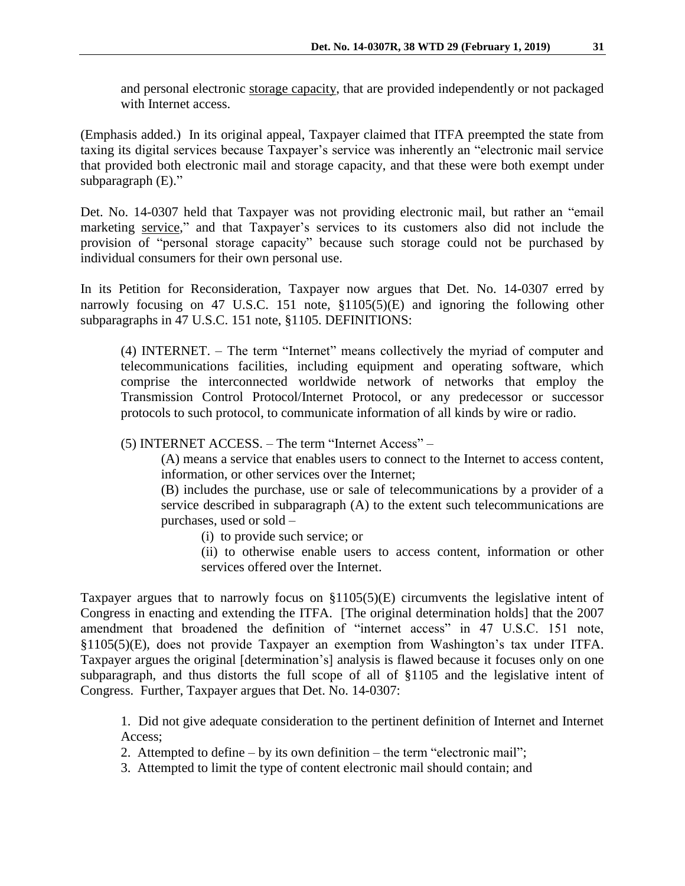and personal electronic storage capacity, that are provided independently or not packaged with Internet access.

(Emphasis added.) In its original appeal, Taxpayer claimed that ITFA preempted the state from taxing its digital services because Taxpayer's service was inherently an "electronic mail service that provided both electronic mail and storage capacity, and that these were both exempt under subparagraph (E)."

Det. No. 14-0307 held that Taxpayer was not providing electronic mail, but rather an "email marketing service," and that Taxpayer's services to its customers also did not include the provision of "personal storage capacity" because such storage could not be purchased by individual consumers for their own personal use.

In its Petition for Reconsideration, Taxpayer now argues that Det. No. 14-0307 erred by narrowly focusing on 47 U.S.C. 151 note, §1105(5)(E) and ignoring the following other subparagraphs in 47 U.S.C. 151 note, §1105. DEFINITIONS:

(4) INTERNET. – The term "Internet" means collectively the myriad of computer and telecommunications facilities, including equipment and operating software, which comprise the interconnected worldwide network of networks that employ the Transmission Control Protocol/Internet Protocol, or any predecessor or successor protocols to such protocol, to communicate information of all kinds by wire or radio.

(5) INTERNET ACCESS. – The term "Internet Access" –

(A) means a service that enables users to connect to the Internet to access content, information, or other services over the Internet;

(B) includes the purchase, use or sale of telecommunications by a provider of a service described in subparagraph (A) to the extent such telecommunications are purchases, used or sold –

(i) to provide such service; or

(ii) to otherwise enable users to access content, information or other services offered over the Internet.

Taxpayer argues that to narrowly focus on §1105(5)(E) circumvents the legislative intent of Congress in enacting and extending the ITFA. [The original determination holds] that the 2007 amendment that broadened the definition of "internet access" in 47 U.S.C. 151 note, §1105(5)(E), does not provide Taxpayer an exemption from Washington's tax under ITFA. Taxpayer argues the original [determination's] analysis is flawed because it focuses only on one subparagraph, and thus distorts the full scope of all of §1105 and the legislative intent of Congress. Further, Taxpayer argues that Det. No. 14-0307:

1. Did not give adequate consideration to the pertinent definition of Internet and Internet Access;

2. Attempted to define – by its own definition – the term "electronic mail";

3. Attempted to limit the type of content electronic mail should contain; and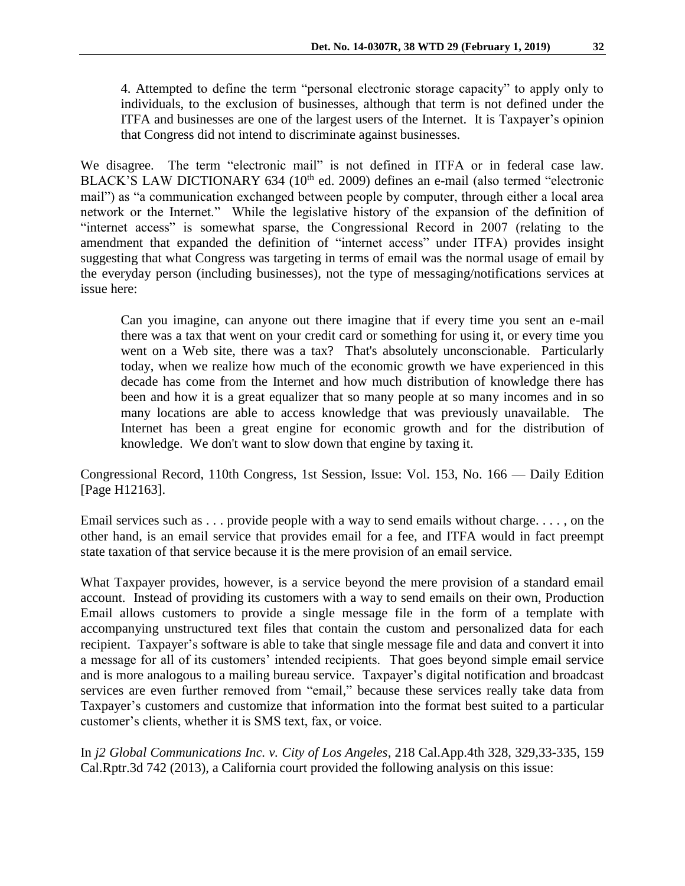4. Attempted to define the term "personal electronic storage capacity" to apply only to individuals, to the exclusion of businesses, although that term is not defined under the ITFA and businesses are one of the largest users of the Internet. It is Taxpayer's opinion that Congress did not intend to discriminate against businesses.

We disagree. The term "electronic mail" is not defined in ITFA or in federal case law. BLACK'S LAW DICTIONARY 634 (10<sup>th</sup> ed. 2009) defines an e-mail (also termed "electronic mail") as "a communication exchanged between people by computer, through either a local area network or the Internet." While the legislative history of the expansion of the definition of "internet access" is somewhat sparse, the Congressional Record in 2007 (relating to the amendment that expanded the definition of "internet access" under ITFA) provides insight suggesting that what Congress was targeting in terms of email was the normal usage of email by the everyday person (including businesses), not the type of messaging/notifications services at issue here:

Can you imagine, can anyone out there imagine that if every time you sent an e-mail there was a tax that went on your credit card or something for using it, or every time you went on a Web site, there was a tax? That's absolutely unconscionable. Particularly today, when we realize how much of the economic growth we have experienced in this decade has come from the Internet and how much distribution of knowledge there has been and how it is a great equalizer that so many people at so many incomes and in so many locations are able to access knowledge that was previously unavailable. The Internet has been a great engine for economic growth and for the distribution of knowledge. We don't want to slow down that engine by taxing it.

Congressional Record, 110th Congress, 1st Session, Issue: Vol. 153, No. 166 — Daily Edition [Page H12163].

Email services such as . . . provide people with a way to send emails without charge. . . . , on the other hand, is an email service that provides email for a fee, and ITFA would in fact preempt state taxation of that service because it is the mere provision of an email service.

What Taxpayer provides, however, is a service beyond the mere provision of a standard email account. Instead of providing its customers with a way to send emails on their own, Production Email allows customers to provide a single message file in the form of a template with accompanying unstructured text files that contain the custom and personalized data for each recipient. Taxpayer's software is able to take that single message file and data and convert it into a message for all of its customers' intended recipients. That goes beyond simple email service and is more analogous to a mailing bureau service. Taxpayer's digital notification and broadcast services are even further removed from "email," because these services really take data from Taxpayer's customers and customize that information into the format best suited to a particular customer's clients, whether it is SMS text, fax, or voice.

In *j2 Global Communications Inc. v. City of Los Angeles*, 218 Cal.App.4th 328, 329,33-335, 159 Cal.Rptr.3d 742 (2013), a California court provided the following analysis on this issue: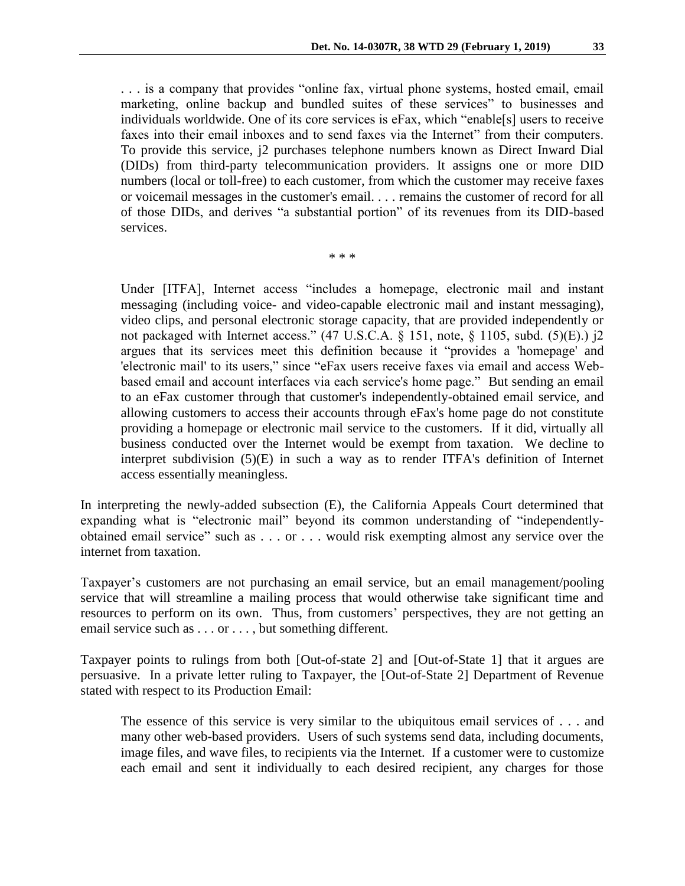. . . is a company that provides "online fax, virtual phone systems, hosted email, email marketing, online backup and bundled suites of these services" to businesses and individuals worldwide. One of its core services is eFax, which "enable[s] users to receive faxes into their email inboxes and to send faxes via the Internet" from their computers. To provide this service, j2 purchases telephone numbers known as Direct Inward Dial (DIDs) from third-party telecommunication providers. It assigns one or more DID numbers (local or toll-free) to each customer, from which the customer may receive faxes

or voicemail messages in the customer's email. . . . remains the customer of record for all of those DIDs, and derives "a substantial portion" of its revenues from its DID-based services.

\* \* \*

Under [ITFA], Internet access "includes a homepage, electronic mail and instant messaging (including voice- and video-capable electronic mail and instant messaging), video clips, and personal electronic storage capacity, that are provided independently or not packaged with Internet access." (47 U.S.C.A. § 151, note, § 1105, subd. (5)(E).) j2 argues that its services meet this definition because it "provides a 'homepage' and 'electronic mail' to its users," since "eFax users receive faxes via email and access Webbased email and account interfaces via each service's home page." But sending an email to an eFax customer through that customer's independently-obtained email service, and allowing customers to access their accounts through eFax's home page do not constitute providing a homepage or electronic mail service to the customers. If it did, virtually all business conducted over the Internet would be exempt from taxation. We decline to interpret subdivision (5)(E) in such a way as to render ITFA's definition of Internet access essentially meaningless.

In interpreting the newly-added subsection (E), the California Appeals Court determined that expanding what is "electronic mail" beyond its common understanding of "independentlyobtained email service" such as . . . or . . . would risk exempting almost any service over the internet from taxation.

Taxpayer's customers are not purchasing an email service, but an email management/pooling service that will streamline a mailing process that would otherwise take significant time and resources to perform on its own. Thus, from customers' perspectives, they are not getting an email service such as . . . or . . . , but something different.

Taxpayer points to rulings from both [Out-of-state 2] and [Out-of-State 1] that it argues are persuasive. In a private letter ruling to Taxpayer, the [Out-of-State 2] Department of Revenue stated with respect to its Production Email:

The essence of this service is very similar to the ubiquitous email services of . . . and many other web-based providers. Users of such systems send data, including documents, image files, and wave files, to recipients via the Internet. If a customer were to customize each email and sent it individually to each desired recipient, any charges for those